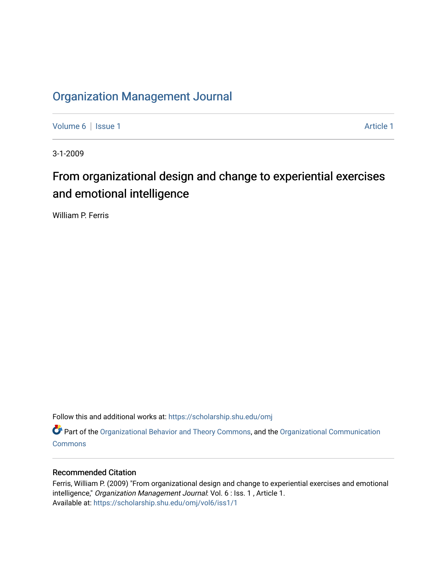### [Organization Management Journal](https://scholarship.shu.edu/omj)

[Volume 6](https://scholarship.shu.edu/omj/vol6) | [Issue 1](https://scholarship.shu.edu/omj/vol6/iss1) Article 1

3-1-2009

## From organizational design and change to experiential exercises and emotional intelligence

William P. Ferris

Follow this and additional works at: [https://scholarship.shu.edu/omj](https://scholarship.shu.edu/omj?utm_source=scholarship.shu.edu%2Fomj%2Fvol6%2Fiss1%2F1&utm_medium=PDF&utm_campaign=PDFCoverPages) 

Part of the [Organizational Behavior and Theory Commons,](http://network.bepress.com/hgg/discipline/639?utm_source=scholarship.shu.edu%2Fomj%2Fvol6%2Fiss1%2F1&utm_medium=PDF&utm_campaign=PDFCoverPages) and the [Organizational Communication](http://network.bepress.com/hgg/discipline/335?utm_source=scholarship.shu.edu%2Fomj%2Fvol6%2Fiss1%2F1&utm_medium=PDF&utm_campaign=PDFCoverPages) **[Commons](http://network.bepress.com/hgg/discipline/335?utm_source=scholarship.shu.edu%2Fomj%2Fvol6%2Fiss1%2F1&utm_medium=PDF&utm_campaign=PDFCoverPages)** 

#### Recommended Citation

Ferris, William P. (2009) "From organizational design and change to experiential exercises and emotional intelligence," Organization Management Journal: Vol. 6 : Iss. 1 , Article 1. Available at: [https://scholarship.shu.edu/omj/vol6/iss1/1](https://scholarship.shu.edu/omj/vol6/iss1/1?utm_source=scholarship.shu.edu%2Fomj%2Fvol6%2Fiss1%2F1&utm_medium=PDF&utm_campaign=PDFCoverPages)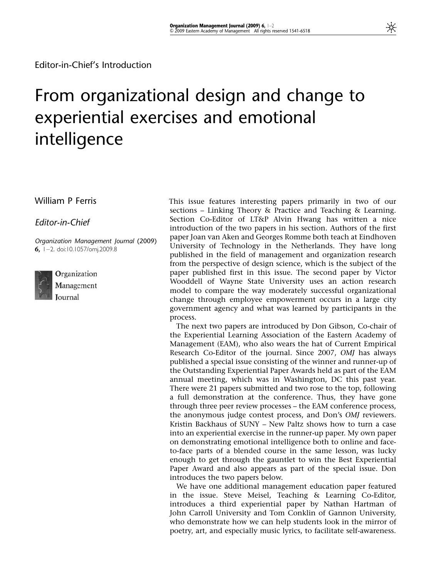# From organizational design and change to experiential exercises and emotional intelligence

#### William P Ferris

Editor-in-Chief

Organization Management Journal (2009) 6, 1–2. doi:10.1057/omj.2009.8



Organization Management Journal

This issue features interesting papers primarily in two of our sections – Linking Theory & Practice and Teaching & Learning. Section Co-Editor of LT&P Alvin Hwang has written a nice introduction of the two papers in his section. Authors of the first paper Joan van Aken and Georges Romme both teach at Eindhoven University of Technology in the Netherlands. They have long published in the field of management and organization research from the perspective of design science, which is the subject of the paper published first in this issue. The second paper by Victor Wooddell of Wayne State University uses an action research model to compare the way moderately successful organizational change through employee empowerment occurs in a large city government agency and what was learned by participants in the process.

The next two papers are introduced by Don Gibson, Co-chair of the Experiential Learning Association of the Eastern Academy of Management (EAM), who also wears the hat of Current Empirical Research Co-Editor of the journal. Since 2007, OMJ has always published a special issue consisting of the winner and runner-up of the Outstanding Experiential Paper Awards held as part of the EAM annual meeting, which was in Washington, DC this past year. There were 21 papers submitted and two rose to the top, following a full demonstration at the conference. Thus, they have gone through three peer review processes – the EAM conference process, the anonymous judge contest process, and Don's OMJ reviewers. Kristin Backhaus of SUNY – New Paltz shows how to turn a case into an experiential exercise in the runner-up paper. My own paper on demonstrating emotional intelligence both to online and faceto-face parts of a blended course in the same lesson, was lucky enough to get through the gauntlet to win the Best Experiential Paper Award and also appears as part of the special issue. Don introduces the two papers below.

We have one additional management education paper featured in the issue. Steve Meisel, Teaching & Learning Co-Editor, introduces a third experiential paper by Nathan Hartman of John Carroll University and Tom Conklin of Gannon University, who demonstrate how we can help students look in the mirror of poetry, art, and especially music lyrics, to facilitate self-awareness.